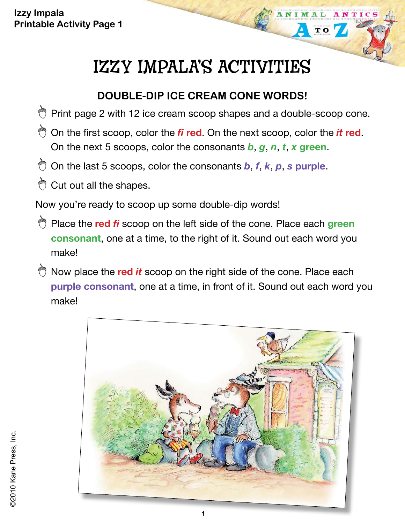**Izzy Impala Printable Activity Page 1**

# IZZY IMPALA'S ACTIVITIES

NTIC

 $\overline{\mathbf{T}}$  O

#### **DOUBLE-DIP ICE CREAM CONE WORDS!**

- $\bullet$  Print page 2 with 12 ice cream scoop shapes and a double-scoop cone.
- On the first scoop, color the *fi* **red**. On the next scoop, color the *it* **red**. On the next 5 scoops, color the consonants *b*, *g*, *n*, *t*, *x* **green**.
- On the last 5 scoops, color the consonants *b*, *f*, *k*, *p*, *s* **purple**.
- Cut out all the shapes.

Now you're ready to scoop up some double-dip words!

- Place the **red** *fi* scoop on the left side of the cone. Place each **green consonant**, one at a time, to the right of it. Sound out each word you make!
- $\bigcirc$  Now place the red *it* scoop on the right side of the cone. Place each **purple consonant**, one at a time, in front of it. Sound out each word you make!

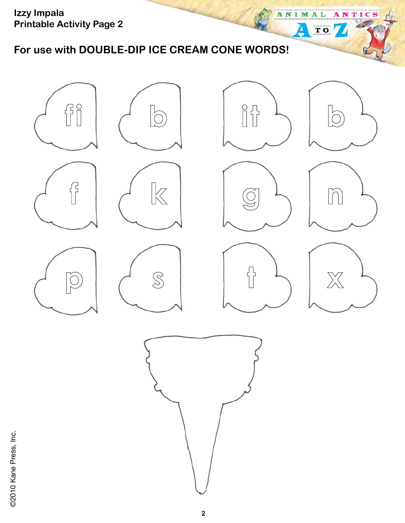**Izzy Impala Printable Activity Page 2**

**For use with DOUBLE-DIP ICE CREAM CONE WORDS!** 



ANIMAL

Д

ANTICS

TO 7

@2010 Kane Press, Inc. ©2010 Kane Press, Inc.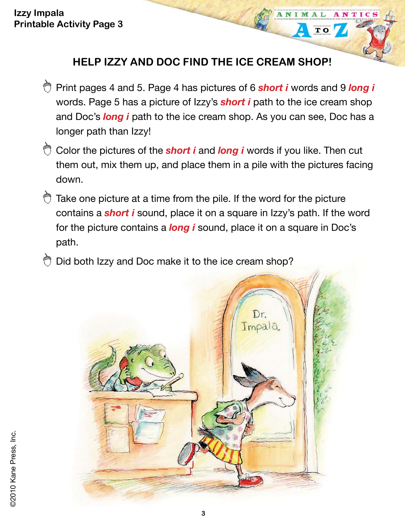### **HELP IZZY AND DOC FIND THE ICE CREAM SHOP!**

NTIC

 $\overline{\mathbf{T}}$  O

- Print pages 4 and 5. Page 4 has pictures of 6 *short i* words and 9 *long i* words. Page 5 has a picture of Izzy's *short i* path to the ice cream shop and Doc's *long i* path to the ice cream shop. As you can see, Doc has a longer path than Izzy!
- Color the pictures of the **short i** and **long i** words if you like. Then cut them out, mix them up, and place them in a pile with the pictures facing down.
- $\bigcirc$  Take one picture at a time from the pile. If the word for the picture contains a *short i* sound, place it on a square in Izzy's path. If the word for the picture contains a *long i* sound, place it on a square in Doc's path.
- Did both Izzy and Doc make it to the ice cream shop?

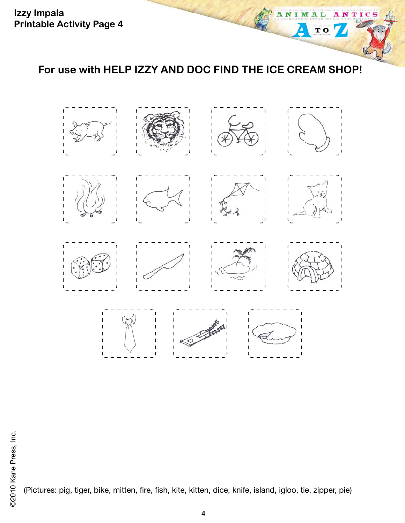**For use with HELP IZZY AND DOC FIND THE ICE CREAM SHOP!** 

A

M

 $\overline{\mathbf{T}}$  O

т л C



(Pictures: pig, tiger, bike, mitten, fire, fish, kite, kitten, dice, knife, island, igloo, tie, zipper, pie)

**4**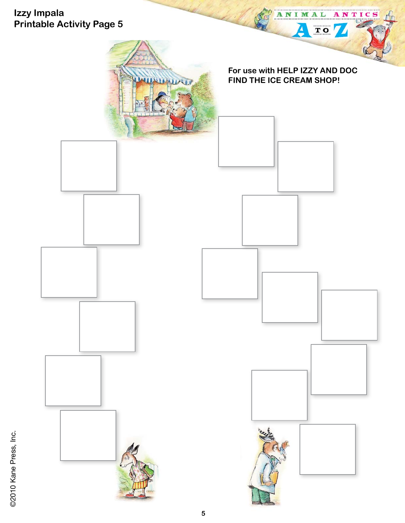

@2010 Kane Press, Inc. ©2010 Kane Press, Inc.